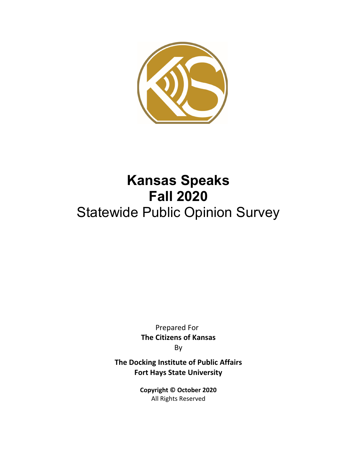

# **Kansas Speaks Fall 2020**  Statewide Public Opinion Survey

Prepared For **The Citizens of Kansas** By

**The Docking Institute of Public Affairs Fort Hays State University**

> **Copyright © October 2020** All Rights Reserved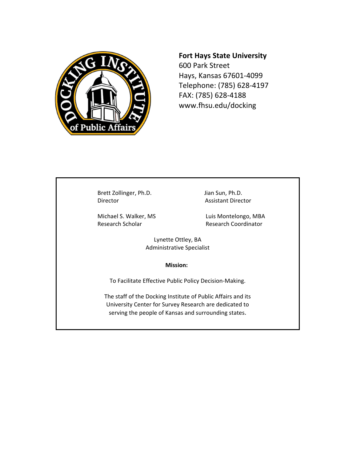

## **Fort Hays State University**

600 Park Street Hays, Kansas 67601‐4099 Telephone: (785) 628‐4197 FAX: (785) 628‐4188 www.fhsu.edu/docking

Brett Zollinger, Ph.D. Jian Sun, Ph.D. Director Assistant Director

Research Scholar **Research Coordinator** 

Michael S. Walker, MS Luis Montelongo, MBA

Lynette Ottley, BA Administrative Specialist

#### **Mission:**

To Facilitate Effective Public Policy Decision‐Making.

The staff of the Docking Institute of Public Affairs and its University Center for Survey Research are dedicated to serving the people of Kansas and surrounding states.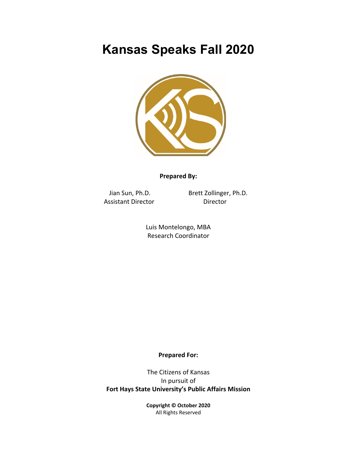## **Kansas Speaks Fall 2020**



## **Prepared By:**

Assistant Director **Director** 

Jian Sun, Ph.D. Brett Zollinger, Ph.D.

Luis Montelongo, MBA Research Coordinator

## **Prepared For:**

The Citizens of Kansas In pursuit of **Fort Hays State University's Public Affairs Mission**

> **Copyright © October 2020** All Rights Reserved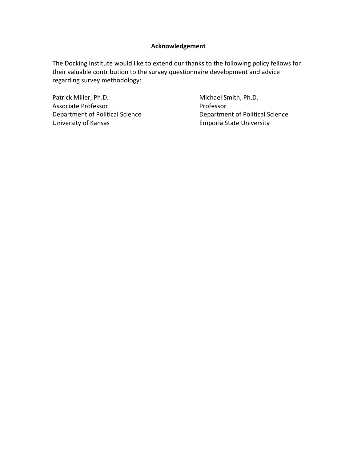## **Acknowledgement**

The Docking Institute would like to extend our thanks to the following policy fellows for their valuable contribution to the survey questionnaire development and advice regarding survey methodology:

Patrick Miller, Ph.D. **Batrick Miller, Ph.D.** Michael Smith, Ph.D. Associate Professor **Calculation** Professor Department of Political Science Department of Political Science University of Kansas *Emporia State University*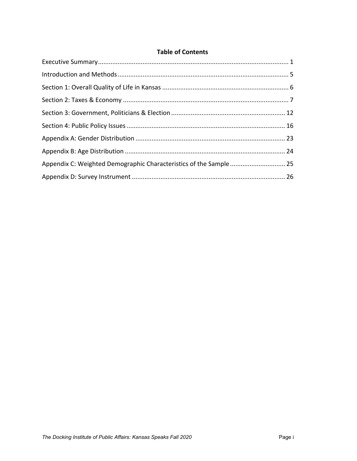## **Table of Contents**

| Appendix C: Weighted Demographic Characteristics of the Sample 25 |  |
|-------------------------------------------------------------------|--|
|                                                                   |  |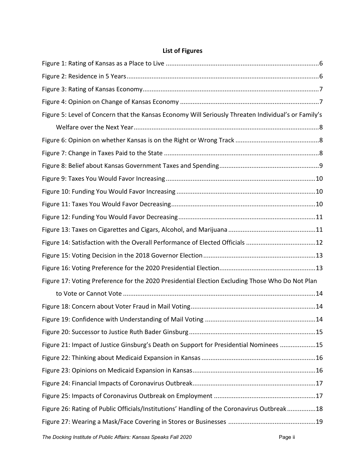## **List of Figures**

| Figure 5: Level of Concern that the Kansas Economy Will Seriously Threaten Individual's or Family's |  |
|-----------------------------------------------------------------------------------------------------|--|
|                                                                                                     |  |
|                                                                                                     |  |
|                                                                                                     |  |
|                                                                                                     |  |
|                                                                                                     |  |
|                                                                                                     |  |
|                                                                                                     |  |
|                                                                                                     |  |
|                                                                                                     |  |
| Figure 14: Satisfaction with the Overall Performance of Elected Officials 12                        |  |
|                                                                                                     |  |
|                                                                                                     |  |
| Figure 17: Voting Preference for the 2020 Presidential Election Excluding Those Who Do Not Plan     |  |
|                                                                                                     |  |
|                                                                                                     |  |
|                                                                                                     |  |
|                                                                                                     |  |
| Figure 21: Impact of Justice Ginsburg's Death on Support for Presidential Nominees 15               |  |
|                                                                                                     |  |
|                                                                                                     |  |
|                                                                                                     |  |
|                                                                                                     |  |
| Figure 26: Rating of Public Officials/Institutions' Handling of the Coronavirus Outbreak18          |  |
|                                                                                                     |  |
|                                                                                                     |  |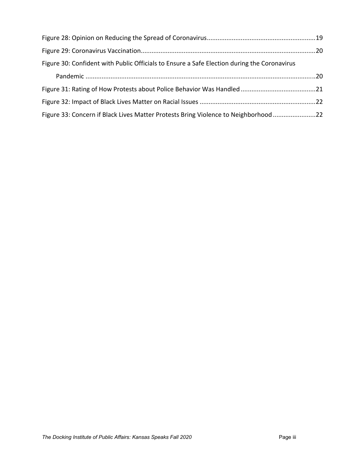| Figure 30: Confident with Public Officials to Ensure a Safe Election during the Coronavirus |  |
|---------------------------------------------------------------------------------------------|--|
|                                                                                             |  |
|                                                                                             |  |
|                                                                                             |  |
| Figure 33: Concern if Black Lives Matter Protests Bring Violence to Neighborhood22          |  |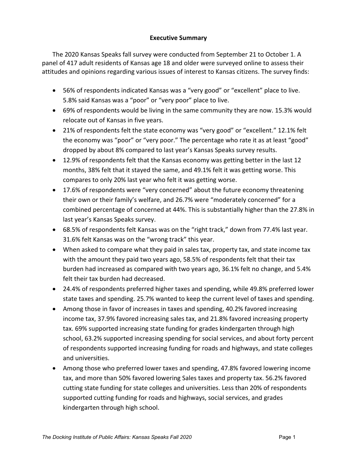## **Executive Summary**

The 2020 Kansas Speaks fall survey were conducted from September 21 to October 1. A panel of 417 adult residents of Kansas age 18 and older were surveyed online to assess their attitudes and opinions regarding various issues of interest to Kansas citizens. The survey finds:

- 56% of respondents indicated Kansas was a "very good" or "excellent" place to live. 5.8% said Kansas was a "poor" or "very poor" place to live.
- 69% of respondents would be living in the same community they are now. 15.3% would relocate out of Kansas in five years.
- 21% of respondents felt the state economy was "very good" or "excellent." 12.1% felt the economy was "poor" or "very poor." The percentage who rate it as at least "good" dropped by about 8% compared to last year's Kansas Speaks survey results.
- 12.9% of respondents felt that the Kansas economy was getting better in the last 12 months, 38% felt that it stayed the same, and 49.1% felt it was getting worse. This compares to only 20% last year who felt it was getting worse.
- 17.6% of respondents were "very concerned" about the future economy threatening their own or their family's welfare, and 26.7% were "moderately concerned" for a combined percentage of concerned at 44%. This is substantially higher than the 27.8% in last year's Kansas Speaks survey.
- 68.5% of respondents felt Kansas was on the "right track," down from 77.4% last year. 31.6% felt Kansas was on the "wrong track" this year.
- When asked to compare what they paid in sales tax, property tax, and state income tax with the amount they paid two years ago, 58.5% of respondents felt that their tax burden had increased as compared with two years ago, 36.1% felt no change, and 5.4% felt their tax burden had decreased.
- 24.4% of respondents preferred higher taxes and spending, while 49.8% preferred lower state taxes and spending. 25.7% wanted to keep the current level of taxes and spending.
- Among those in favor of increases in taxes and spending, 40.2% favored increasing income tax, 37.9% favored increasing sales tax, and 21.8% favored increasing property tax. 69% supported increasing state funding for grades kindergarten through high school, 63.2% supported increasing spending for social services, and about forty percent of respondents supported increasing funding for roads and highways, and state colleges and universities.
- Among those who preferred lower taxes and spending, 47.8% favored lowering income tax, and more than 50% favored lowering Sales taxes and property tax. 56.2% favored cutting state funding for state colleges and universities. Less than 20% of respondents supported cutting funding for roads and highways, social services, and grades kindergarten through high school.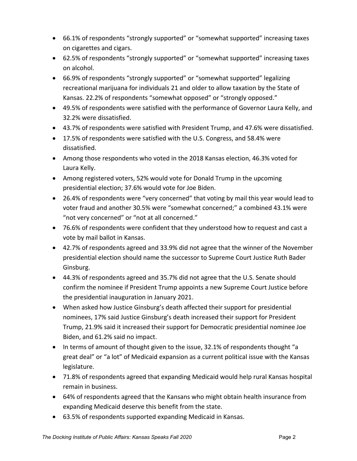- 66.1% of respondents "strongly supported" or "somewhat supported" increasing taxes on cigarettes and cigars.
- 62.5% of respondents "strongly supported" or "somewhat supported" increasing taxes on alcohol.
- 66.9% of respondents "strongly supported" or "somewhat supported" legalizing recreational marijuana for individuals 21 and older to allow taxation by the State of Kansas. 22.2% of respondents "somewhat opposed" or "strongly opposed."
- 49.5% of respondents were satisfied with the performance of Governor Laura Kelly, and 32.2% were dissatisfied.
- 43.7% of respondents were satisfied with President Trump, and 47.6% were dissatisfied.
- 17.5% of respondents were satisfied with the U.S. Congress, and 58.4% were dissatisfied.
- Among those respondents who voted in the 2018 Kansas election, 46.3% voted for Laura Kelly.
- Among registered voters, 52% would vote for Donald Trump in the upcoming presidential election; 37.6% would vote for Joe Biden.
- 26.4% of respondents were "very concerned" that voting by mail this year would lead to voter fraud and another 30.5% were "somewhat concerned;" a combined 43.1% were "not very concerned" or "not at all concerned."
- 76.6% of respondents were confident that they understood how to request and cast a vote by mail ballot in Kansas.
- 42.7% of respondents agreed and 33.9% did not agree that the winner of the November presidential election should name the successor to Supreme Court Justice Ruth Bader Ginsburg.
- 44.3% of respondents agreed and 35.7% did not agree that the U.S. Senate should confirm the nominee if President Trump appoints a new Supreme Court Justice before the presidential inauguration in January 2021.
- When asked how Justice Ginsburg's death affected their support for presidential nominees, 17% said Justice Ginsburg's death increased their support for President Trump, 21.9% said it increased their support for Democratic presidential nominee Joe Biden, and 61.2% said no impact.
- In terms of amount of thought given to the issue, 32.1% of respondents thought "a great deal" or "a lot" of Medicaid expansion as a current political issue with the Kansas legislature.
- 71.8% of respondents agreed that expanding Medicaid would help rural Kansas hospital remain in business.
- 64% of respondents agreed that the Kansans who might obtain health insurance from expanding Medicaid deserve this benefit from the state.
- 63.5% of respondents supported expanding Medicaid in Kansas.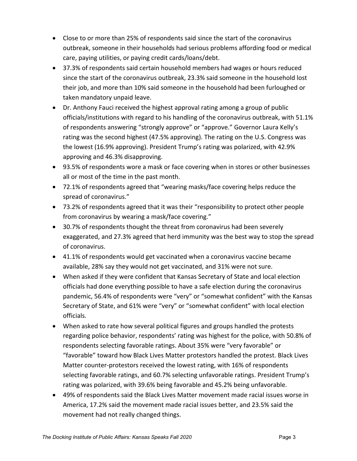- Close to or more than 25% of respondents said since the start of the coronavirus outbreak, someone in their households had serious problems affording food or medical care, paying utilities, or paying credit cards/loans/debt.
- 37.3% of respondents said certain household members had wages or hours reduced since the start of the coronavirus outbreak, 23.3% said someone in the household lost their job, and more than 10% said someone in the household had been furloughed or taken mandatory unpaid leave.
- Dr. Anthony Fauci received the highest approval rating among a group of public officials/institutions with regard to his handling of the coronavirus outbreak, with 51.1% of respondents answering "strongly approve" or "approve." Governor Laura Kelly's rating was the second highest (47.5% approving). The rating on the U.S. Congress was the lowest (16.9% approving). President Trump's rating was polarized, with 42.9% approving and 46.3% disapproving.
- 93.5% of respondents wore a mask or face covering when in stores or other businesses all or most of the time in the past month.
- 72.1% of respondents agreed that "wearing masks/face covering helps reduce the spread of coronavirus."
- 73.2% of respondents agreed that it was their "responsibility to protect other people from coronavirus by wearing a mask/face covering."
- 30.7% of respondents thought the threat from coronavirus had been severely exaggerated, and 27.3% agreed that herd immunity was the best way to stop the spread of coronavirus.
- 41.1% of respondents would get vaccinated when a coronavirus vaccine became available, 28% say they would not get vaccinated, and 31% were not sure.
- When asked if they were confident that Kansas Secretary of State and local election officials had done everything possible to have a safe election during the coronavirus pandemic, 56.4% of respondents were "very" or "somewhat confident" with the Kansas Secretary of State, and 61% were "very" or "somewhat confident" with local election officials.
- When asked to rate how several political figures and groups handled the protests regarding police behavior, respondents' rating was highest for the police, with 50.8% of respondents selecting favorable ratings. About 35% were "very favorable" or "favorable" toward how Black Lives Matter protestors handled the protest. Black Lives Matter counter‐protestors received the lowest rating, with 16% of respondents selecting favorable ratings, and 60.7% selecting unfavorable ratings. President Trump's rating was polarized, with 39.6% being favorable and 45.2% being unfavorable.
- 49% of respondents said the Black Lives Matter movement made racial issues worse in America, 17.2% said the movement made racial issues better, and 23.5% said the movement had not really changed things.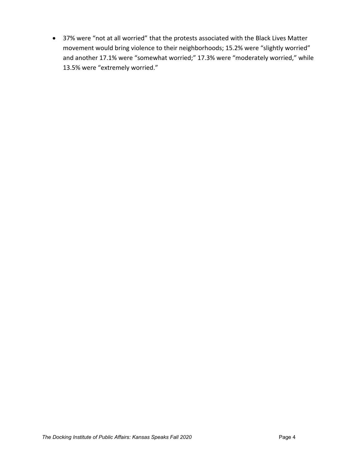37% were "not at all worried" that the protests associated with the Black Lives Matter movement would bring violence to their neighborhoods; 15.2% were "slightly worried" and another 17.1% were "somewhat worried;" 17.3% were "moderately worried," while 13.5% were "extremely worried."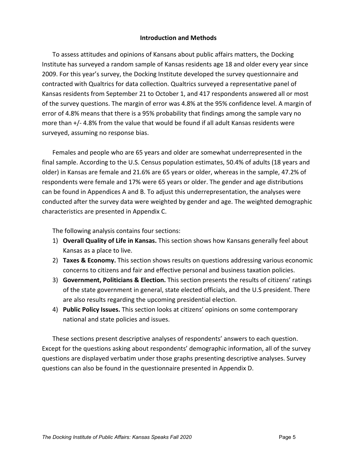## **Introduction and Methods**

To assess attitudes and opinions of Kansans about public affairs matters, the Docking Institute has surveyed a random sample of Kansas residents age 18 and older every year since 2009. For this year's survey, the Docking Institute developed the survey questionnaire and contracted with Qualtrics for data collection. Qualtrics surveyed a representative panel of Kansas residents from September 21 to October 1, and 417 respondents answered all or most of the survey questions. The margin of error was 4.8% at the 95% confidence level. A margin of error of 4.8% means that there is a 95% probability that findings among the sample vary no more than +/- 4.8% from the value that would be found if all adult Kansas residents were surveyed, assuming no response bias.

Females and people who are 65 years and older are somewhat underrepresented in the final sample. According to the U.S. Census population estimates, 50.4% of adults (18 years and older) in Kansas are female and 21.6% are 65 years or older, whereas in the sample, 47.2% of respondents were female and 17% were 65 years or older. The gender and age distributions can be found in Appendices A and B. To adjust this underrepresentation, the analyses were conducted after the survey data were weighted by gender and age. The weighted demographic characteristics are presented in Appendix C.

The following analysis contains four sections:

- 1) **Overall Quality of Life in Kansas.** This section shows how Kansans generally feel about Kansas as a place to live.
- 2) **Taxes & Economy.** This section shows results on questions addressing various economic concerns to citizens and fair and effective personal and business taxation policies.
- 3) **Government, Politicians & Election.** This section presents the results of citizens' ratings of the state government in general, state elected officials, and the U.S president. There are also results regarding the upcoming presidential election.
- 4) **Public Policy Issues.** This section looks at citizens' opinions on some contemporary national and state policies and issues.

These sections present descriptive analyses of respondents' answers to each question. Except for the questions asking about respondents' demographic information, all of the survey questions are displayed verbatim under those graphs presenting descriptive analyses. Survey questions can also be found in the questionnaire presented in Appendix D.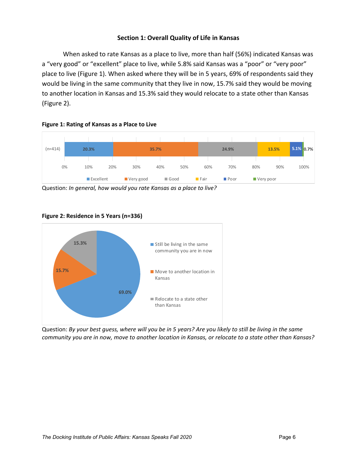## **Section 1: Overall Quality of Life in Kansas**

When asked to rate Kansas as a place to live, more than half (56%) indicated Kansas was a "very good" or "excellent" place to live, while 5.8% said Kansas was a "poor" or "very poor" place to live (Figure 1). When asked where they will be in 5 years, 69% of respondents said they would be living in the same community that they live in now, 15.7% said they would be moving to another location in Kansas and 15.3% said they would relocate to a state other than Kansas (Figure 2).





Question: *In general, how would you rate Kansas as a place to live?*



#### **Figure 2: Residence in 5 Years (n=336)**

Question: By your best guess, where will you be in 5 years? Are you likely to still be living in the same community you are in now, move to another location in Kansas, or relocate to a state other than Kansas?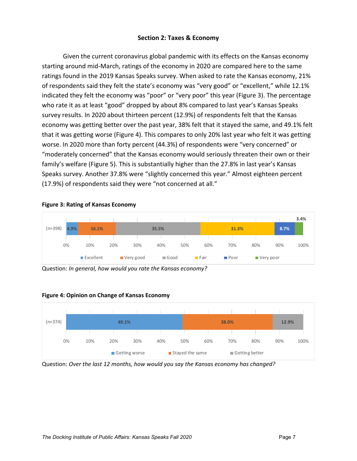## **Section 2: Taxes & Economy**

Given the current coronavirus global pandemic with its effects on the Kansas economy starting around mid‐March, ratings of the economy in 2020 are compared here to the same ratings found in the 2019 Kansas Speaks survey. When asked to rate the Kansas economy, 21% of respondents said they felt the state's economy was "very good" or "excellent," while 12.1% indicated they felt the economy was "poor" or "very poor" this year (Figure 3). The percentage who rate it as at least "good" dropped by about 8% compared to last year's Kansas Speaks survey results. In 2020 about thirteen percent (12.9%) of respondents felt that the Kansas economy was getting better over the past year, 38% felt that it stayed the same, and 49.1% felt that it was getting worse (Figure 4). This compares to only 20% last year who felt it was getting worse. In 2020 more than forty percent (44.3%) of respondents were "very concerned" or "moderately concerned" that the Kansas economy would seriously threaten their own or their family's welfare (Figure 5). This is substantially higher than the 27.8% in last year's Kansas Speaks survey. Another 37.8% were "slightly concerned this year." Almost eighteen percent (17.9%) of respondents said they were "not concerned at all."



Question: *In general, how would you rate the Kansas economy?*



#### **Figure 4: Opinion on Change of Kansas Economy**

Question: *Over the last 12 months, how would you say the Kansas economy has changed?*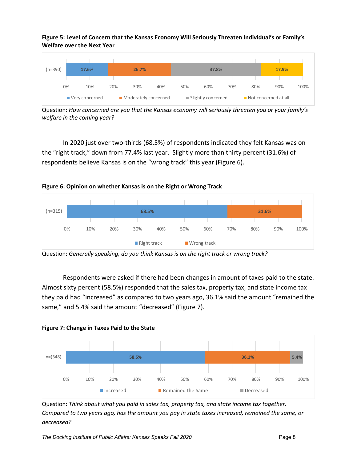**Figure 5: Level of Concern that the Kansas Economy Will Seriously Threaten Individual's or Family's Welfare over the Next Year**



Question: *How concerned are you that the Kansas economy will seriously threaten you or your family's welfare in the coming year?*

In 2020 just over two‐thirds (68.5%) of respondents indicated they felt Kansas was on the "right track," down from 77.4% last year. Slightly more than thirty percent (31.6%) of respondents believe Kansas is on the "wrong track" this year (Figure 6).



**Figure 6: Opinion on whether Kansas is on the Right or Wrong Track**

 Question: *Generally speaking, do you think Kansas is on the right track or wrong track?*

Respondents were asked if there had been changes in amount of taxes paid to the state. Almost sixty percent (58.5%) responded that the sales tax, property tax, and state income tax they paid had "increased" as compared to two years ago, 36.1% said the amount "remained the same," and 5.4% said the amount "decreased" (Figure 7).



Question: *Think about what you paid in sales tax, property tax, and state income tax together. Compared to two years ago, has the amount you pay in state taxes increased, remained the same, or decreased?* 

**Figure 7: Change in Taxes Paid to the State**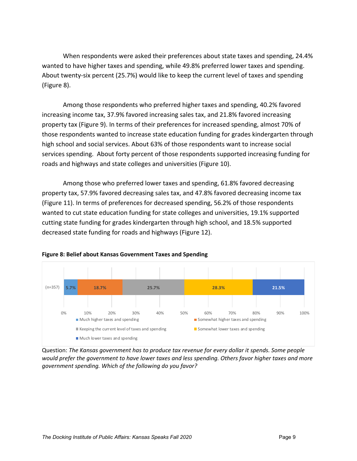When respondents were asked their preferences about state taxes and spending, 24.4% wanted to have higher taxes and spending, while 49.8% preferred lower taxes and spending. About twenty‐six percent (25.7%) would like to keep the current level of taxes and spending (Figure 8).

Among those respondents who preferred higher taxes and spending, 40.2% favored increasing income tax, 37.9% favored increasing sales tax, and 21.8% favored increasing property tax (Figure 9). In terms of their preferences for increased spending, almost 70% of those respondents wanted to increase state education funding for grades kindergarten through high school and social services. About 63% of those respondents want to increase social services spending. About forty percent of those respondents supported increasing funding for roads and highways and state colleges and universities (Figure 10).

Among those who preferred lower taxes and spending, 61.8% favored decreasing property tax, 57.9% favored decreasing sales tax, and 47.8% favored decreasing income tax (Figure 11). In terms of preferences for decreased spending, 56.2% of those respondents wanted to cut state education funding for state colleges and universities, 19.1% supported cutting state funding for grades kindergarten through high school, and 18.5% supported decreased state funding for roads and highways (Figure 12).



#### **Figure 8: Belief about Kansas Government Taxes and Spending**

Question: *The Kansas government has to produce tax revenue for every dollar it spends. Some people would prefer the government to have lower taxes and less spending. Others favor higher taxes and more government spending. Which of the following do you favor?*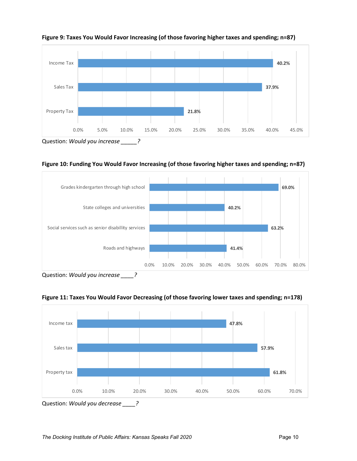

**Figure 9: Taxes You Would Favor Increasing (of those favoring higher taxes and spending; n=87)**

**Figure 10: Funding You Would Favor Increasing (of those favoring higher taxes and spending; n=87)**



Question: *Would you increase \_\_\_\_?*



**Figure 11: Taxes You Would Favor Decreasing (of those favoring lower taxes and spending; n=178)**

Question: *Would you decrease \_\_\_\_?*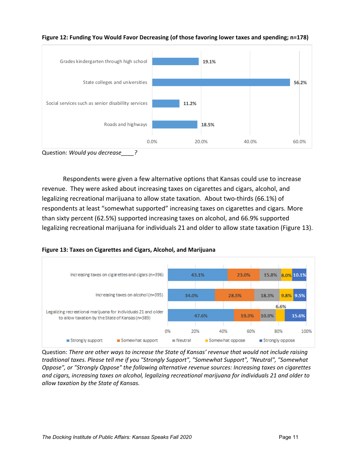

**Figure 12: Funding You Would Favor Decreasing (of those favoring lower taxes and spending; n=178)**

Question: *Would you decrease\_\_\_\_?*

Respondents were given a few alternative options that Kansas could use to increase revenue. They were asked about increasing taxes on cigarettes and cigars, alcohol, and legalizing recreational marijuana to allow state taxation. About two-thirds (66.1%) of respondents at least "somewhat supported" increasing taxes on cigarettes and cigars. More than sixty percent (62.5%) supported increasing taxes on alcohol, and 66.9% supported legalizing recreational marijuana for individuals 21 and older to allow state taxation (Figure 13).





Question: *There are other ways to increase the State of Kansas' revenue that would not include raising traditional taxes. Please tell me if you "Strongly Support", "Somewhat Support", "Neutral", "Somewhat Oppose", or "Strongly Oppose" the following alternative revenue sources: Increasing taxes on cigarettes and cigars, increasing taxes on alcohol, legalizing recreational marijuana for individuals 21 and older to allow taxation by the State of Kansas.*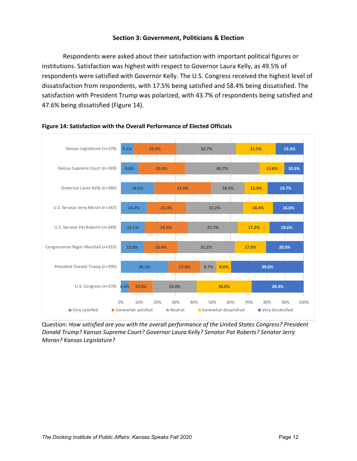## **Section 3: Government, Politicians & Election**

Respondents were asked about their satisfaction with important political figures or institutions. Satisfaction was highest with respect to Governor Laura Kelly, as 49.5% of respondents were satisfied with Governor Kelly. The U.S. Congress received the highest level of dissatisfaction from respondents, with 17.5% being satisfied and 58.4% being dissatisfied. The satisfaction with President Trump was polarized, with 43.7% of respondents being satisfied and 47.6% being dissatisfied (Figure 14).



## **Figure 14: Satisfaction with the Overall Performance of Elected Officials**

Question: *How satisfied are you with the overall performance of the United States Congress? President Donald Trump? Kansas Supreme Court? Governor Laura Kelly? Senator Pat Roberts? Senator Jerry Moran? Kansas Legislature?*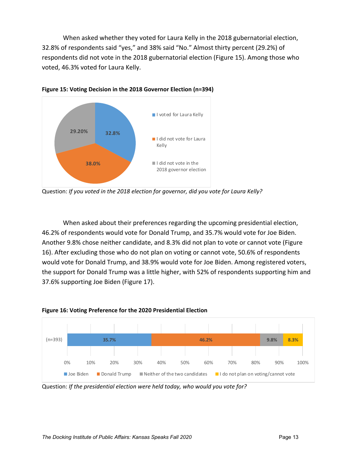When asked whether they voted for Laura Kelly in the 2018 gubernatorial election, 32.8% of respondents said "yes," and 38% said "No." Almost thirty percent (29.2%) of respondents did not vote in the 2018 gubernatorial election (Figure 15). Among those who voted, 46.3% voted for Laura Kelly.



**Figure 15: Voting Decision in the 2018 Governor Election (n=394)** 

Question: *If you voted in the 2018 election for governor, did you vote for Laura Kelly?*

When asked about their preferences regarding the upcoming presidential election, 46.2% of respondents would vote for Donald Trump, and 35.7% would vote for Joe Biden. Another 9.8% chose neither candidate, and 8.3% did not plan to vote or cannot vote (Figure 16). After excluding those who do not plan on voting or cannot vote, 50.6% of respondents would vote for Donald Trump, and 38.9% would vote for Joe Biden. Among registered voters, the support for Donald Trump was a little higher, with 52% of respondents supporting him and 37.6% supporting Joe Biden (Figure 17).





Question: *If the presidential election were held today, who would you vote for?*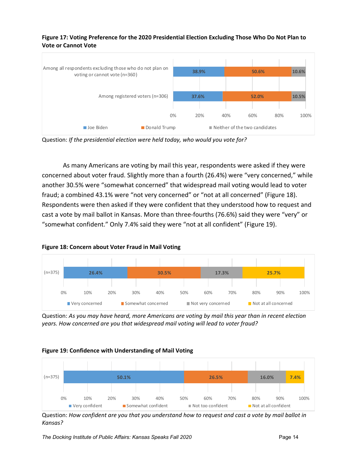

## **Figure 17: Voting Preference for the 2020 Presidential Election Excluding Those Who Do Not Plan to Vote or Cannot Vote**

Question: *If the presidential election were held today, who would you vote for?*

As many Americans are voting by mail this year, respondents were asked if they were concerned about voter fraud. Slightly more than a fourth (26.4%) were "very concerned," while another 30.5% were "somewhat concerned" that widespread mail voting would lead to voter fraud; a combined 43.1% were "not very concerned" or "not at all concerned" (Figure 18). Respondents were then asked if they were confident that they understood how to request and cast a vote by mail ballot in Kansas. More than three‐fourths (76.6%) said they were "very" or "somewhat confident." Only 7.4% said they were "not at all confident" (Figure 19).



**Figure 18: Concern about Voter Fraud in Mail Voting**

Question: *As you may have heard, more Americans are voting by mail this year than in recent election years. How concerned are you that widespread mail voting will lead to voter fraud?*

## **Figure 19: Confidence with Understanding of Mail Voting**



Question: How confident are you that you understand how to request and cast a vote by mail ballot in *Kansas?*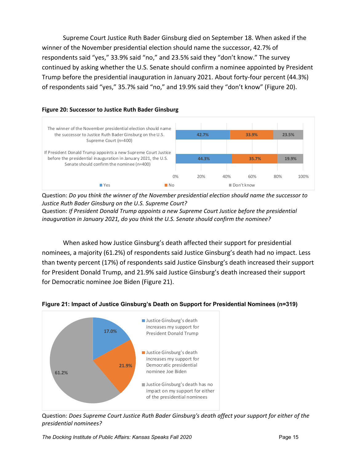Supreme Court Justice Ruth Bader Ginsburg died on September 18. When asked if the winner of the November presidential election should name the successor, 42.7% of respondents said "yes," 33.9% said "no," and 23.5% said they "don't know." The survey continued by asking whether the U.S. Senate should confirm a nominee appointed by President Trump before the presidential inauguration in January 2021. About forty‐four percent (44.3%) of respondents said "yes," 35.7% said "no," and 19.9% said they "don't know" (Figure 20).

## **Figure 20: Successor to Justice Ruth Bader Ginsburg**



Question: *Do you think the winner of the November presidential election should name the successor to Justice Ruth Bader Ginsburg on the U.S. Supreme Court?*

Question: *If President Donald Trump appoints a new Supreme Court Justice before the presidential inauguration in January 2021, do you think the U.S. Senate should confirm the nominee?*

When asked how Justice Ginsburg's death affected their support for presidential nominees, a majority (61.2%) of respondents said Justice Ginsburg's death had no impact. Less than twenty percent (17%) of respondents said Justice Ginsburg's death increased their support for President Donald Trump, and 21.9% said Justice Ginsburg's death increased their support for Democratic nominee Joe Biden (Figure 21).



**Figure 21: Impact of Justice Ginsburg's Death on Support for Presidential Nominees (n=319)** 

Question: *Does Supreme Court Justice Ruth Bader Ginsburg's death affect your support for either of the presidential nominees?*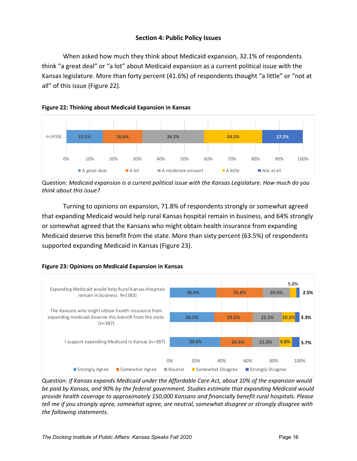## **Section 4: Public Policy Issues**

When asked how much they think about Medicaid expansion, 32.1% of respondents think "a great deal" or "a lot" about Medicaid expansion as a current political issue with the Kansas legislature. More than forty percent (41.6%) of respondents thought "a little" or "not at all" of this issue (Figure 22).





Question: *Medicaid expansion is a current political issue with the Kansas Legislature. How much do you think about this issue?*

Turning to opinions on expansion, 71.8% of respondents strongly or somewhat agreed that expanding Medicaid would help rural Kansas hospital remain in business, and 64% strongly or somewhat agreed that the Kansans who might obtain health insurance from expanding Medicaid deserve this benefit from the state. More than sixty percent (63.5%) of respondents supported expanding Medicaid in Kansas (Figure 23).



**Figure 23: Opinions on Medicaid Expansion in Kansas**

Question: *If Kansas expands Medicaid under the Affordable Care Act, about 10% of the expansion would be paid by Kansas, and 90% by the federal government. Studies estimate that expanding Medicaid would provide health coverage to approximately 150,000 Kansans and financially benefit rural hospitals. Please tell me if you strongly agree, somewhat agree, are neutral, somewhat disagree or strongly disagree with the following statements.*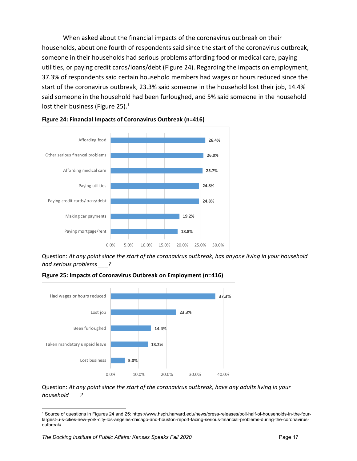When asked about the financial impacts of the coronavirus outbreak on their households, about one fourth of respondents said since the start of the coronavirus outbreak, someone in their households had serious problems affording food or medical care, paying utilities, or paying credit cards/loans/debt (Figure 24). Regarding the impacts on employment, 37.3% of respondents said certain household members had wages or hours reduced since the start of the coronavirus outbreak, 23.3% said someone in the household lost their job, 14.4% said someone in the household had been furloughed, and 5% said someone in the household lost their business (Figure 25).<sup>1</sup>



**Figure 24: Financial Impacts of Coronavirus Outbreak (n=416)**

Question: *At any point since the start of the coronavirus outbreak, has anyone living in your household had serious problems \_\_\_?*





Question: *At any point since the start of the coronavirus outbreak, have any adults living in your household \_\_\_?*

<sup>1</sup> Source of questions in Figures 24 and 25: https://www.hsph.harvard.edu/news/press-releases/poll-half-of-households-in-the-fourlargest-u-s-cities-new-york-city-los-angeles-chicago-and-houston-report-facing-serious-financial-problems-during-the-coronavirusoutbreak/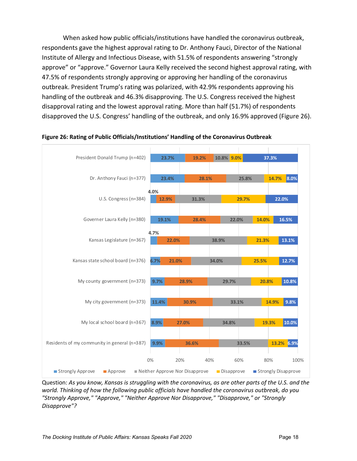When asked how public officials/institutions have handled the coronavirus outbreak, respondents gave the highest approval rating to Dr. Anthony Fauci, Director of the National Institute of Allergy and Infectious Disease, with 51.5% of respondents answering "strongly approve" or "approve." Governor Laura Kelly received the second highest approval rating, with 47.5% of respondents strongly approving or approving her handling of the coronavirus outbreak. President Trump's rating was polarized, with 42.9% respondents approving his handling of the outbreak and 46.3% disapproving. The U.S. Congress received the highest disapproval rating and the lowest approval rating. More than half (51.7%) of respondents disapproved the U.S. Congress' handling of the outbreak, and only 16.9% approved (Figure 26).



#### **Figure 26: Rating of Public Officials/Institutions' Handling of the Coronavirus Outbreak**

Question: As you know, Kansas is struggling with the coronavirus, as are other parts of the U.S. and the *world. Thinking of how the following public officials have handled the coronavirus outbreak, do you "Strongly Approve," "Approve," "Neither Approve Nor Disapprove," "Disapprove," or "Strongly Disapprove"?*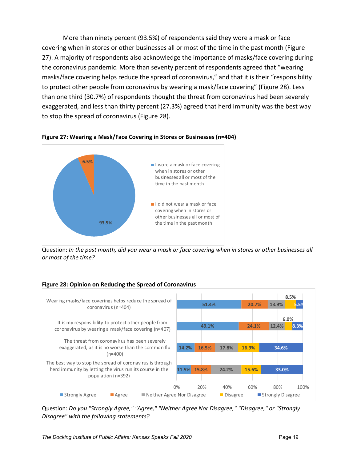More than ninety percent (93.5%) of respondents said they wore a mask or face covering when in stores or other businesses all or most of the time in the past month (Figure 27). A majority of respondents also acknowledge the importance of masks/face covering during the coronavirus pandemic. More than seventy percent of respondents agreed that "wearing masks/face covering helps reduce the spread of coronavirus," and that it is their "responsibility to protect other people from coronavirus by wearing a mask/face covering" (Figure 28). Less than one third (30.7%) of respondents thought the threat from coronavirus had been severely exaggerated, and less than thirty percent (27.3%) agreed that herd immunity was the best way to stop the spread of coronavirus (Figure 28).

![](_page_25_Figure_1.jpeg)

**Figure 27: Wearing a Mask/Face Covering in Stores or Businesses (n=404)**

Question: In the past month, did you wear a mask or face covering when in stores or other businesses all *or most of the time?*

## **Figure 28: Opinion on Reducing the Spread of Coronavirus**

![](_page_25_Figure_5.jpeg)

Question: *Do you "Strongly Agree," "Agree," "Neither Agree Nor Disagree," "Disagree," or "Strongly Disagree" with the following statements?*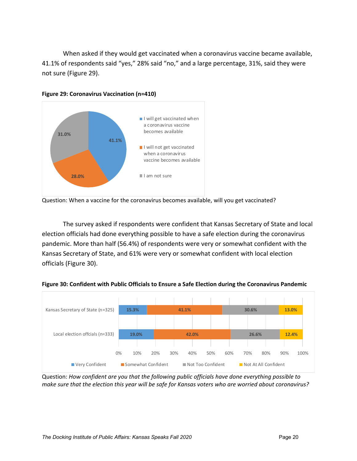When asked if they would get vaccinated when a coronavirus vaccine became available, 41.1% of respondents said "yes," 28% said "no," and a large percentage, 31%, said they were not sure (Figure 29).

![](_page_26_Figure_1.jpeg)

**Figure 29: Coronavirus Vaccination (n=410)**

The survey asked if respondents were confident that Kansas Secretary of State and local election officials had done everything possible to have a safe election during the coronavirus pandemic. More than half (56.4%) of respondents were very or somewhat confident with the Kansas Secretary of State, and 61% were very or somewhat confident with local election officials (Figure 30).

![](_page_26_Figure_5.jpeg)

![](_page_26_Figure_6.jpeg)

Question: *How confident are you that the following public officials have done everything possible to* make sure that the election this year will be safe for Kansas voters who are worried about coronavirus?

Question: When a vaccine for the coronavirus becomes available, will you get vaccinated?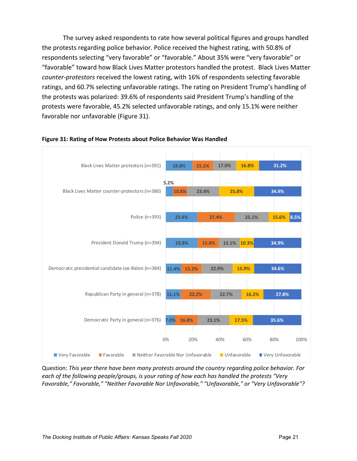The survey asked respondents to rate how several political figures and groups handled the protests regarding police behavior. Police received the highest rating, with 50.8% of respondents selecting "very favorable" or "favorable." About 35% were "very favorable" or "favorable" toward how Black Lives Matter protestors handled the protest. Black Lives Matter *counter‐protestors* received the lowest rating, with 16% of respondents selecting favorable ratings, and 60.7% selecting unfavorable ratings. The rating on President Trump's handling of the protests was polarized: 39.6% of respondents said President Trump's handling of the protests were favorable, 45.2% selected unfavorable ratings, and only 15.1% were neither favorable nor unfavorable (Figure 31).

![](_page_27_Figure_1.jpeg)

#### **Figure 31: Rating of How Protests about Police Behavior Was Handled**

Question: *This year there have been many protests around the country regarding police behavior. For each of the following people/groups, is your rating of how each has handled the protests "Very Favorable," Favorable," "Neither Favorable Nor Unfavorable," "Unfavorable," or "Very Unfavorable"?*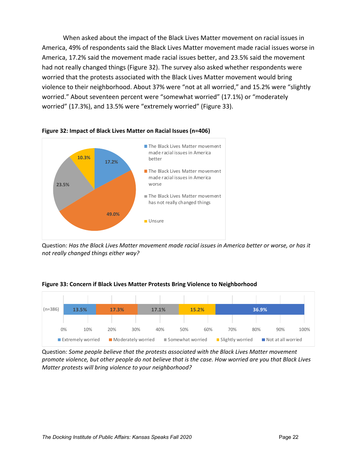When asked about the impact of the Black Lives Matter movement on racial issues in America, 49% of respondents said the Black Lives Matter movement made racial issues worse in America, 17.2% said the movement made racial issues better, and 23.5% said the movement had not really changed things (Figure 32). The survey also asked whether respondents were worried that the protests associated with the Black Lives Matter movement would bring violence to their neighborhood. About 37% were "not at all worried," and 15.2% were "slightly worried." About seventeen percent were "somewhat worried" (17.1%) or "moderately worried" (17.3%), and 13.5% were "extremely worried" (Figure 33).

![](_page_28_Figure_1.jpeg)

![](_page_28_Figure_2.jpeg)

Question: *Has the Black Lives Matter movement made racial issues in America better or worse, or has it not really changed things either way?*

![](_page_28_Figure_4.jpeg)

#### **Figure 33: Concern if Black Lives Matter Protests Bring Violence to Neighborhood**

Question: *Some people believe that the protests associated with the Black Lives Matter movement* promote violence, but other people do not believe that is the case. How worried are you that Black Lives *Matter protests will bring violence to your neighborhood?*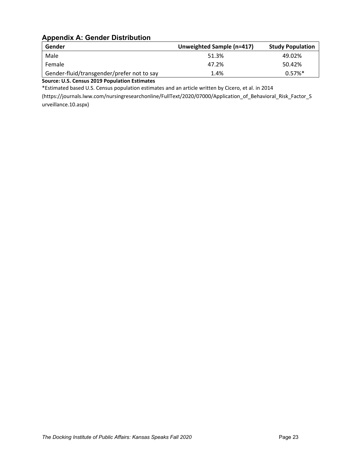## **Appendix A: Gender Distribution**

| Gender                                     | Unweighted Sample (n=417) | <b>Study Population</b> |
|--------------------------------------------|---------------------------|-------------------------|
| Male                                       | 51.3%                     | 49.02%                  |
| Female                                     | 47.2%                     | 50.42%                  |
| Gender-fluid/transgender/prefer not to say | 1.4%                      | $0.57\%$ <sup>*</sup>   |

**Source: U.S. Census 2019 Population Estimates**

\*Estimated based U.S. Census population estimates and an article written by Cicero, et al. in 2014

(https://journals.lww.com/nursingresearchonline/FullText/2020/07000/Application\_of\_Behavioral\_Risk\_Factor\_S urveillance.10.aspx)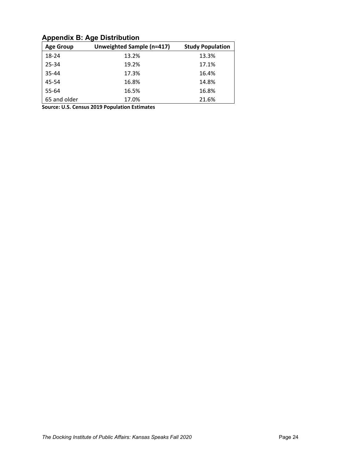## **Appendix B: Age Distribution**

| <b>Age Group</b> | Unweighted Sample (n=417) | <b>Study Population</b> |
|------------------|---------------------------|-------------------------|
| 18-24            | 13.2%                     | 13.3%                   |
| 25-34            | 19.2%                     | 17.1%                   |
| 35-44            | 17.3%                     | 16.4%                   |
| 45-54            | 16.8%                     | 14.8%                   |
| 55-64            | 16.5%                     | 16.8%                   |
| 65 and older     | 17.0%                     | 21.6%                   |

**Source: U.S. Census 2019 Population Estimates**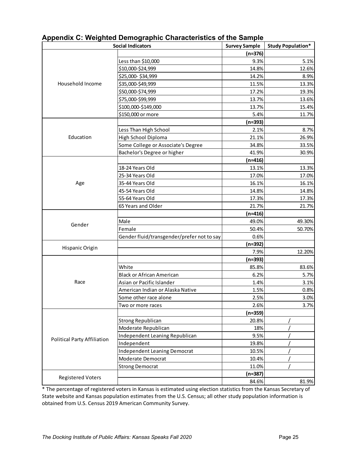| <b>Social Indicators</b>           |                                            | <b>Survey Sample</b> | <b>Study Population*</b> |
|------------------------------------|--------------------------------------------|----------------------|--------------------------|
|                                    |                                            | $(n=376)$            |                          |
|                                    | Less than \$10,000                         | 9.3%                 | 5.1%                     |
|                                    | \$10,000-\$24,999                          | 14.8%                | 12.6%                    |
|                                    | \$25,000-\$34,999                          | 14.2%                | 8.9%                     |
| Household Income                   | \$35,000-\$49,999                          | 11.5%                | 13.3%                    |
|                                    | \$50,000-\$74,999                          | 17.2%                | 19.3%                    |
|                                    | \$75,000-\$99,999                          | 13.7%                | 13.6%                    |
|                                    | \$100,000-\$149,000                        | 13.7%                | 15.4%                    |
|                                    | \$150,000 or more                          | 5.4%                 | 11.7%                    |
|                                    |                                            | (n=393)              |                          |
|                                    | Less Than High School                      | 2.1%                 | 8.7%                     |
| Education                          | High School Diploma                        | 21.1%                | 26.9%                    |
|                                    | Some College or Associate's Degree         | 34.8%                | 33.5%                    |
|                                    | Bachelor's Degree or higher                | 41.9%                | 30.9%                    |
|                                    |                                            | (n=416)              |                          |
|                                    | 18-24 Years Old                            | 13.1%                | 13.3%                    |
|                                    | 25-34 Years Old                            | 17.0%                | 17.0%                    |
| Age                                | 35-44 Years Old                            | 16.1%                | 16.1%                    |
|                                    | 45-54 Years Old                            | 14.8%                | 14.8%                    |
|                                    | 55-64 Years Old                            | 17.3%                | 17.3%                    |
|                                    | 65 Years and Older                         | 21.7%                | 21.7%                    |
|                                    |                                            | $(n=416)$            |                          |
| Gender                             | Male                                       | 49.0%                | 49.30%                   |
|                                    | Female                                     | 50.4%                | 50.70%                   |
|                                    | Gender fluid/transgender/prefer not to say | 0.6%                 |                          |
|                                    |                                            | (n=392)              |                          |
| Hispanic Origin                    |                                            | 7.9%                 | 12.20%                   |
|                                    |                                            | $(n=393)$            |                          |
|                                    | White                                      | 85.8%                | 83.6%                    |
|                                    | <b>Black or African American</b>           | 6.2%                 | 5.7%                     |
| Race                               | Asian or Pacific Islander                  | 1.4%                 | 3.1%                     |
|                                    | American Indian or Alaska Native           | 1.5%                 | 0.8%                     |
|                                    | Some other race alone                      | 2.5%                 | 3.0%                     |
|                                    | Two or more races                          | 2.6%                 | 3.7%                     |
|                                    |                                            | (n=359)              |                          |
|                                    | <b>Strong Republican</b>                   | 20.8%                |                          |
|                                    | Moderate Republican                        | 18%                  |                          |
|                                    | Independent Leaning Republican             | 9.5%                 |                          |
| <b>Political Party Affiliation</b> | Independent                                | 19.8%                |                          |
|                                    | <b>Independent Leaning Democrat</b>        | 10.5%                |                          |
|                                    | Moderate Democrat                          | 10.4%                |                          |
|                                    | <b>Strong Democrat</b>                     | 11.0%                |                          |
|                                    |                                            | $(n=387)$            |                          |
| <b>Registered Voters</b>           |                                            | 84.6%                | 81.9%                    |

**Appendix C: Weighted Demographic Characteristics of the Sample** 

\* The percentage of registered voters in Kansas is estimated using election statistics from the Kansas Secretary of State website and Kansas population estimates from the U.S. Census; all other study population information is obtained from U.S. Census 2019 American Community Survey.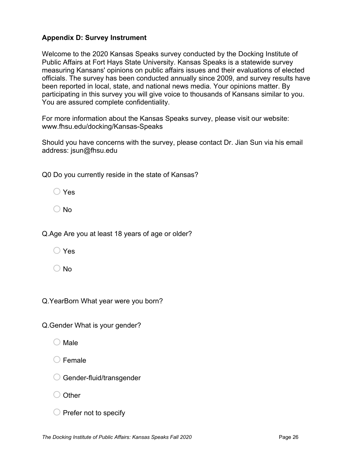## **Appendix D: Survey Instrument**

Welcome to the 2020 Kansas Speaks survey conducted by the Docking Institute of Public Affairs at Fort Hays State University. Kansas Speaks is a statewide survey measuring Kansans' opinions on public affairs issues and their evaluations of elected officials. The survey has been conducted annually since 2009, and survey results have been reported in local, state, and national news media. Your opinions matter. By participating in this survey you will give voice to thousands of Kansans similar to you. You are assured complete confidentiality.

For more information about the Kansas Speaks survey, please visit our website: www.fhsu.edu/docking/Kansas-Speaks

Should you have concerns with the survey, please contact Dr. Jian Sun via his email address: jsun@fhsu.edu

Q0 Do you currently reside in the state of Kansas?

| Yes |
|-----|
|-----|

 $\bigcirc$  No

Q.Age Are you at least 18 years of age or older?

o Yes

 $\bigcirc$  No

Q.YearBorn What year were you born?

Q.Gender What is your gender?

- $\bigcirc$  Male
- $\bigcirc$  Female
- $\bigcirc$  Gender-fluid/transgender

 $\bigcirc$  Other

 $\bigcirc$  Prefer not to specify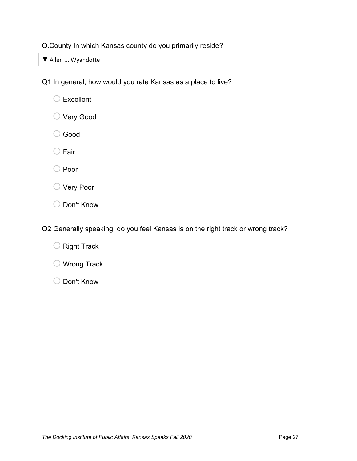Q.County In which Kansas county do you primarily reside?

▼ Allen ... Wyandotte

Q1 In general, how would you rate Kansas as a place to live?

- $\bigcirc$  Excellent
- O Very Good
- o Good
- $\bigcirc$  Fair
- O Poor
- O Very Poor
- O Don't Know

Q2 Generally speaking, do you feel Kansas is on the right track or wrong track?

- $\bigcirc$  Right Track
- $\bigcirc$  Wrong Track
- o Don't Know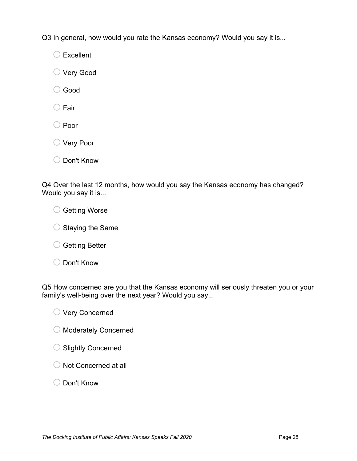Q3 In general, how would you rate the Kansas economy? Would you say it is...

 $\bigcirc$  Excellent

- O Very Good
- o Good
- $\bigcirc$  Fair
- O Poor
- O Very Poor
- o Don't Know

Q4 Over the last 12 months, how would you say the Kansas economy has changed? Would you say it is...

O Getting Worse

- $\bigcirc$  Staying the Same
- $\bigcirc$  Getting Better
- o Don't Know

Q5 How concerned are you that the Kansas economy will seriously threaten you or your family's well-being over the next year? Would you say...

O Very Concerned

- O Moderately Concerned
- $\bigcirc$  Slightly Concerned
- $\bigcirc$  Not Concerned at all
- o Don't Know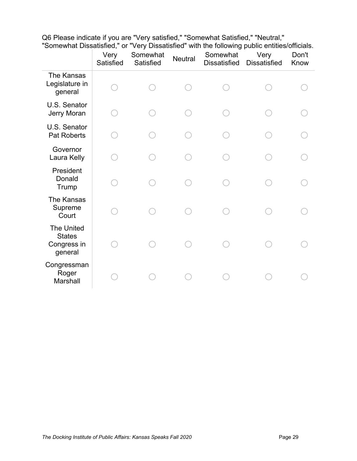| Q6 Please indicate if you are "Very satisfied," "Somewhat Satisfied," "Neutral,"              |  |  |
|-----------------------------------------------------------------------------------------------|--|--|
| "Somewhat Dissatisfied," or "Very Dissatisfied" with the following public entities/officials. |  |  |

|                                                              | Very<br>Satisfied | Somewhat<br>Satisfied | <b>Neutral</b> | Somewhat<br><b>Dissatisfied</b> | Very<br><b>Dissatisfied</b> | Don't<br>Know |
|--------------------------------------------------------------|-------------------|-----------------------|----------------|---------------------------------|-----------------------------|---------------|
| The Kansas<br>Legislature in<br>general                      |                   |                       |                |                                 |                             |               |
| U.S. Senator<br>Jerry Moran                                  |                   |                       |                |                                 |                             |               |
| U.S. Senator<br><b>Pat Roberts</b>                           |                   |                       |                |                                 |                             |               |
| Governor<br>Laura Kelly                                      |                   |                       |                |                                 |                             |               |
| President<br>Donald<br>Trump                                 |                   |                       |                |                                 |                             |               |
| The Kansas<br>Supreme<br>Court                               |                   |                       |                |                                 |                             |               |
| <b>The United</b><br><b>States</b><br>Congress in<br>general |                   |                       |                |                                 |                             |               |
| Congressman<br>Roger<br>Marshall                             |                   |                       |                |                                 |                             |               |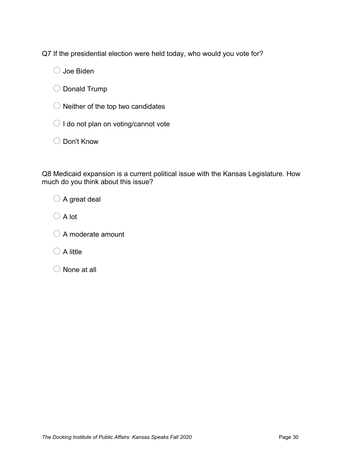Q7 If the presidential election were held today, who would you vote for?

 $\bigcirc$  Joe Biden

O Donald Trump

 $\bigcirc$  Neither of the top two candidates

 $\bigcirc$  I do not plan on voting/cannot vote

O Don't Know

Q8 Medicaid expansion is a current political issue with the Kansas Legislature. How much do you think about this issue?

 $\bigcirc$  A great deal

 $\bigcirc$  A lot

 $\bigcirc$  A moderate amount

 $\bigcirc$  A little

 $\bigcirc$  None at all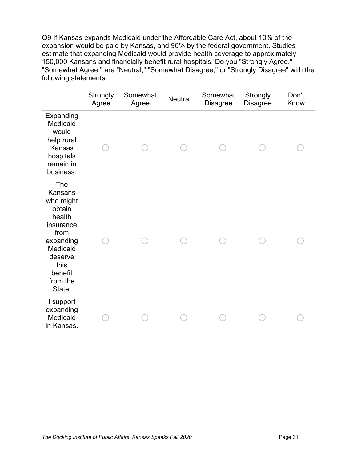Q9 If Kansas expands Medicaid under the Affordable Care Act, about 10% of the expansion would be paid by Kansas, and 90% by the federal government. Studies estimate that expanding Medicaid would provide health coverage to approximately 150,000 Kansans and financially benefit rural hospitals. Do you "Strongly Agree," "Somewhat Agree," are "Neutral," "Somewhat Disagree," or "Strongly Disagree" with the following statements:

|                                                                                                                                                          | Strongly<br>Agree | Somewhat<br>Agree | <b>Neutral</b> | Somewhat<br><b>Disagree</b> | Strongly<br><b>Disagree</b> | Don't<br>Know |
|----------------------------------------------------------------------------------------------------------------------------------------------------------|-------------------|-------------------|----------------|-----------------------------|-----------------------------|---------------|
| Expanding<br>Medicaid<br>would<br>help rural<br>Kansas<br>hospitals<br>remain in<br>business.                                                            |                   |                   |                |                             |                             |               |
| The<br><b>Kansans</b><br>who might<br>obtain<br>health<br>insurance<br>from<br>expanding<br>Medicaid<br>deserve<br>this<br>benefit<br>from the<br>State. |                   |                   |                |                             |                             |               |
| I support<br>expanding<br>Medicaid<br>in Kansas.                                                                                                         |                   |                   |                |                             |                             |               |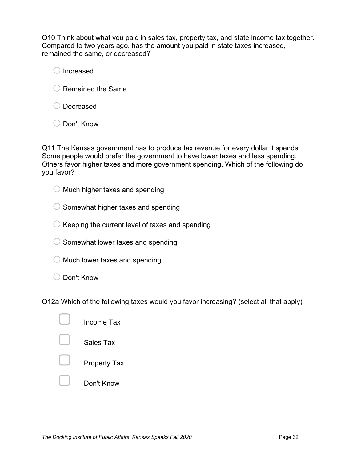Q10 Think about what you paid in sales tax, property tax, and state income tax together. Compared to two years ago, has the amount you paid in state taxes increased, remained the same, or decreased?

 $\bigcirc$  Increased

- $\bigcirc$  Remained the Same
- O Decreased
- ◯ Don't Know

Q11 The Kansas government has to produce tax revenue for every dollar it spends. Some people would prefer the government to have lower taxes and less spending. Others favor higher taxes and more government spending. Which of the following do you favor?

 $\bigcirc$  Much higher taxes and spending

 $\bigcirc$  Somewhat higher taxes and spending

 $\bigcirc$  Keeping the current level of taxes and spending

 $\bigcirc$  Somewhat lower taxes and spending

- $\bigcirc$  Much lower taxes and spending
- $\bigcirc$  Don't Know

Q12a Which of the following taxes would you favor increasing? (select all that apply)

| Income Tax          |
|---------------------|
| Sales Tax           |
| <b>Property Tax</b> |
| Don't Know          |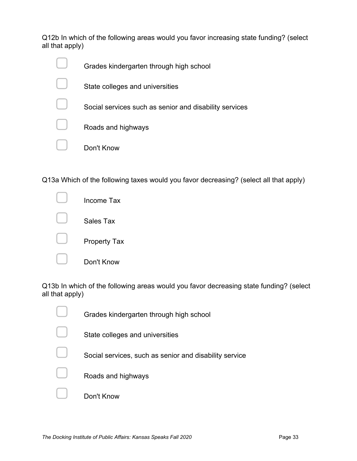Q12b In which of the following areas would you favor increasing state funding? (select all that apply)

| Grades kindergarten through high school                |
|--------------------------------------------------------|
| State colleges and universities                        |
| Social services such as senior and disability services |
| Roads and highways                                     |
| Don't Know                                             |

Q13a Which of the following taxes would you favor decreasing? (select all that apply)

![](_page_39_Figure_3.jpeg)

Q13b In which of the following areas would you favor decreasing state funding? (select all that apply)

| Grades kindergarten through high school                |
|--------------------------------------------------------|
| State colleges and universities                        |
| Social services, such as senior and disability service |
| Roads and highways                                     |
| Don't Know                                             |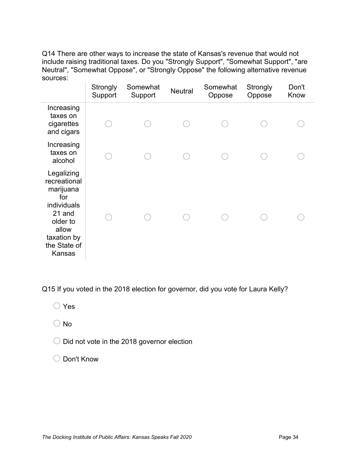Q14 There are other ways to increase the state of Kansas's revenue that would not include raising traditional taxes. Do you "Strongly Support", "Somewhat Support", "are Neutral", "Somewhat Oppose", or "Strongly Oppose" the following alternative revenue sources:

|                                                                                                                                       | Strongly<br>Support | Somewhat<br>Support | <b>Neutral</b> | Somewhat<br>Oppose | Strongly<br>Oppose | Don't<br>Know |
|---------------------------------------------------------------------------------------------------------------------------------------|---------------------|---------------------|----------------|--------------------|--------------------|---------------|
| Increasing<br>taxes on<br>cigarettes<br>and cigars                                                                                    |                     |                     |                |                    |                    |               |
| Increasing<br>taxes on<br>alcohol                                                                                                     |                     |                     |                |                    |                    |               |
| Legalizing<br>recreational<br>marijuana<br>for<br>individuals<br>21 and<br>older to<br>allow<br>taxation by<br>the State of<br>Kansas |                     |                     |                |                    |                    |               |

Q15 If you voted in the 2018 election for governor, did you vote for Laura Kelly?

- o Yes
- $\bigcirc$  No
- $\bigcirc$  Did not vote in the 2018 governor election
- O Don't Know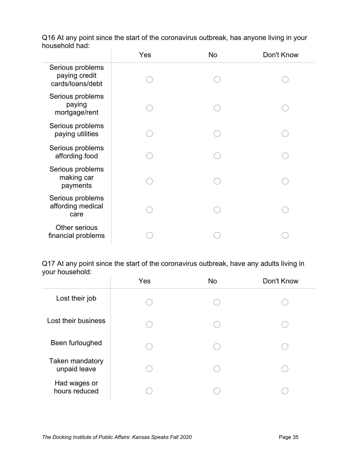|                                                       | Yes | No | Don't Know |
|-------------------------------------------------------|-----|----|------------|
| Serious problems<br>paying credit<br>cards/loans/debt |     |    |            |
| Serious problems<br>paying<br>mortgage/rent           |     |    |            |
| Serious problems<br>paying utilities                  |     |    |            |
| Serious problems<br>affording food                    |     |    |            |
| Serious problems<br>making car<br>payments            |     |    |            |
| Serious problems<br>affording medical<br>care         |     |    |            |
| Other serious<br>financial problems                   |     |    |            |

Q16 At any point since the start of the coronavirus outbreak, has anyone living in your household had:

Q17 At any point since the start of the coronavirus outbreak, have any adults living in your household:

|                                 | Yes | No | Don't Know |
|---------------------------------|-----|----|------------|
| Lost their job                  |     |    |            |
| Lost their business             |     |    |            |
| Been furloughed                 |     |    |            |
| Taken mandatory<br>unpaid leave |     |    |            |
| Had wages or<br>hours reduced   |     |    |            |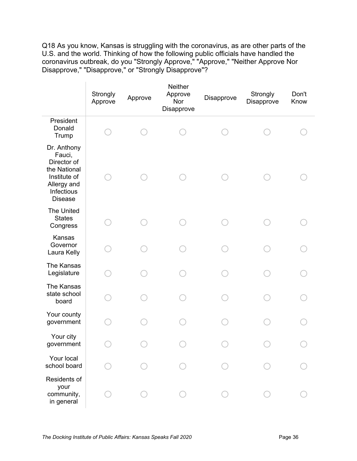Q18 As you know, Kansas is struggling with the coronavirus, as are other parts of the U.S. and the world. Thinking of how the following public officials have handled the coronavirus outbreak, do you "Strongly Approve," "Approve," "Neither Approve Nor Disapprove," "Disapprove," or "Strongly Disapprove"?

 $\bar{1}$ 

|                                                                                                                     | Strongly<br>Approve | Approve | Neither<br>Approve<br>Nor<br>Disapprove | Disapprove | Strongly<br>Disapprove | Don't<br>Know |
|---------------------------------------------------------------------------------------------------------------------|---------------------|---------|-----------------------------------------|------------|------------------------|---------------|
| President<br>Donald<br>Trump                                                                                        |                     |         |                                         |            |                        |               |
| Dr. Anthony<br>Fauci,<br>Director of<br>the National<br>Institute of<br>Allergy and<br>Infectious<br><b>Disease</b> |                     |         |                                         |            |                        |               |
| The United<br><b>States</b><br>Congress                                                                             |                     |         |                                         |            |                        |               |
| Kansas<br>Governor<br>Laura Kelly                                                                                   |                     |         |                                         |            |                        |               |
| The Kansas<br>Legislature                                                                                           |                     |         |                                         |            |                        |               |
| The Kansas<br>state school<br>board                                                                                 |                     |         |                                         |            |                        |               |
| Your county<br>government                                                                                           |                     |         |                                         |            |                        |               |
| Your city<br>government                                                                                             |                     |         |                                         |            |                        |               |
| Your local<br>school board                                                                                          |                     |         |                                         |            |                        |               |
| Residents of<br>your<br>community,<br>in general                                                                    |                     |         |                                         |            |                        |               |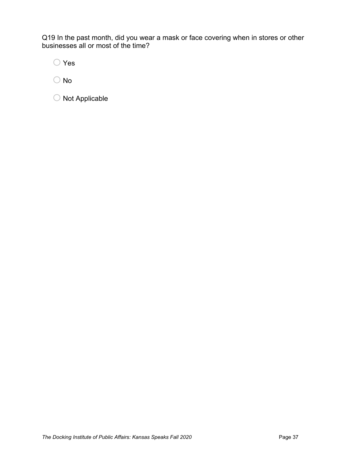Q19 In the past month, did you wear a mask or face covering when in stores or other businesses all or most of the time?

o Yes

 $\bigcirc$  No

 $\bigcirc$  Not Applicable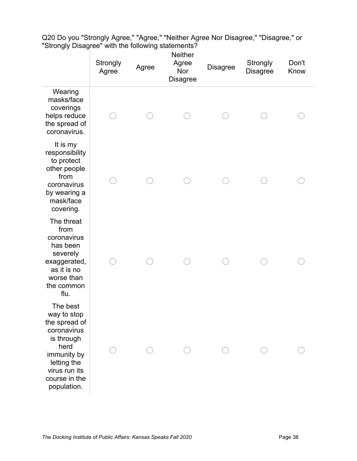|                                                                                                                                                              | Strongly<br>Agree | Agree | <b>Neither</b><br>Agree<br>Nor<br><b>Disagree</b> | <b>Disagree</b> | Strongly<br><b>Disagree</b> | Don't<br>Know |  |
|--------------------------------------------------------------------------------------------------------------------------------------------------------------|-------------------|-------|---------------------------------------------------|-----------------|-----------------------------|---------------|--|
| Wearing<br>masks/face<br>coverings<br>helps reduce<br>the spread of<br>coronavirus.                                                                          |                   |       |                                                   |                 |                             |               |  |
| It is my<br>responsibility<br>to protect<br>other people<br>from<br>coronavirus<br>by wearing a<br>mask/face<br>covering.                                    |                   |       |                                                   |                 |                             |               |  |
| The threat<br>from<br>coronavirus<br>has been<br>severely<br>exaggerated,<br>as it is no<br>worse than<br>the common<br>flu.                                 |                   |       |                                                   |                 |                             |               |  |
| The best<br>way to stop<br>the spread of<br>coronavirus<br>is through<br>herd<br>immunity by<br>letting the<br>virus run its<br>course in the<br>population. |                   |       |                                                   |                 |                             |               |  |

Q20 Do you "Strongly Agree," "Agree," "Neither Agree Nor Disagree," "Disagree," or "Strongly Disagree" with the following statements?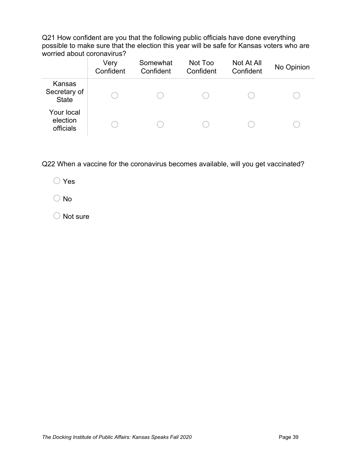Q21 How confident are you that the following public officials have done everything possible to make sure that the election this year will be safe for Kansas voters who are worried about coronavirus?

|                                        | Very<br>Confident | Somewhat<br>Confident | Not Too<br>Confident | Not At All<br>Confident | No Opinion |
|----------------------------------------|-------------------|-----------------------|----------------------|-------------------------|------------|
| Kansas<br>Secretary of<br><b>State</b> |                   |                       |                      |                         |            |
| Your local<br>election<br>officials    |                   |                       |                      |                         |            |

Q22 When a vaccine for the coronavirus becomes available, will you get vaccinated?

o Yes

o No

 $\bigcirc$  Not sure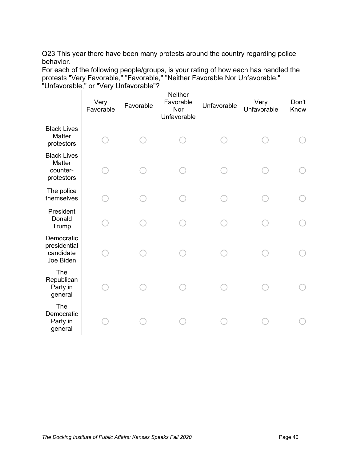Q23 This year there have been many protests around the country regarding police behavior.

For each of the following people/groups, is your rating of how each has handled the protests "Very Favorable," "Favorable," "Neither Favorable Nor Unfavorable," "Unfavorable," or "Very Unfavorable"?

|                                                        | Very<br>Favorable | Favorable | <b>Neither</b><br>Favorable<br>Nor<br>Unfavorable | Unfavorable | Very<br>Unfavorable | Don't<br>Know |  |
|--------------------------------------------------------|-------------------|-----------|---------------------------------------------------|-------------|---------------------|---------------|--|
| <b>Black Lives</b><br>Matter<br>protestors             |                   |           |                                                   |             |                     |               |  |
| <b>Black Lives</b><br>Matter<br>counter-<br>protestors |                   |           |                                                   |             |                     |               |  |
| The police<br>themselves                               |                   |           |                                                   |             |                     |               |  |
| President<br>Donald<br>Trump                           |                   |           |                                                   |             |                     |               |  |
| Democratic<br>presidential<br>candidate<br>Joe Biden   |                   |           |                                                   |             |                     |               |  |
| The<br>Republican<br>Party in<br>general               |                   |           |                                                   |             |                     |               |  |
| The<br>Democratic<br>Party in<br>general               |                   |           |                                                   |             |                     |               |  |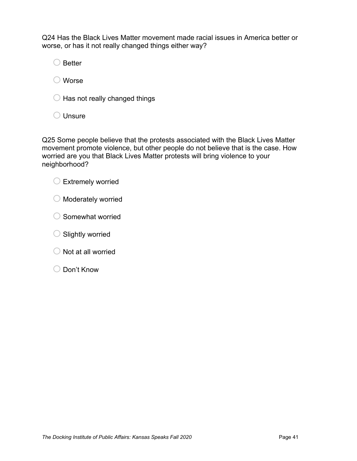Q24 Has the Black Lives Matter movement made racial issues in America better or worse, or has it not really changed things either way?

 $\bigcirc$  Better

 $\bigcirc$  Worse

 $\bigcirc$  Has not really changed things

 $\bigcirc$  Unsure

Q25 Some people believe that the protests associated with the Black Lives Matter movement promote violence, but other people do not believe that is the case. How worried are you that Black Lives Matter protests will bring violence to your neighborhood?

![](_page_47_Picture_6.jpeg)

- $\bigcirc$  Moderately worried
- $\bigcirc$  Somewhat worried
- $\bigcirc$  Slightly worried
- $\bigcirc$  Not at all worried
- O Don't Know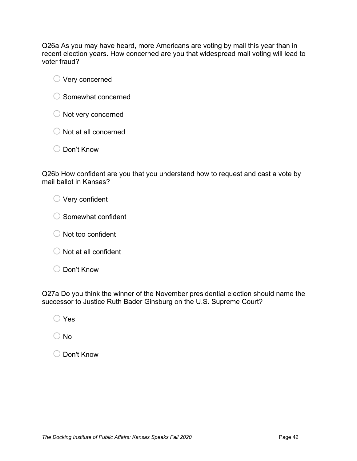Q26a As you may have heard, more Americans are voting by mail this year than in recent election years. How concerned are you that widespread mail voting will lead to voter fraud?

- $\bigcirc$  Very concerned
- $\bigcirc$  Somewhat concerned
- $\bigcirc$  Not very concerned
- $\bigcirc$  Not at all concerned
- o Don't Know

Q26b How confident are you that you understand how to request and cast a vote by mail ballot in Kansas?

 $\bigcirc$  Very confident

- $\bigcirc$  Somewhat confident
- $\bigcirc$  Not too confident
- $\bigcirc$  Not at all confident
- O Don't Know

Q27a Do you think the winner of the November presidential election should name the successor to Justice Ruth Bader Ginsburg on the U.S. Supreme Court?

o Yes

 $\bigcirc$  No

o Don't Know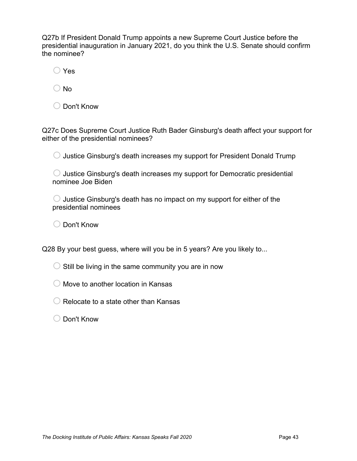Q27b If President Donald Trump appoints a new Supreme Court Justice before the presidential inauguration in January 2021, do you think the U.S. Senate should confirm the nominee?

o Yes

 $\bigcirc$  No

o Don't Know

Q27c Does Supreme Court Justice Ruth Bader Ginsburg's death affect your support for either of the presidential nominees?

 $\bigcirc$  Justice Ginsburg's death increases my support for President Donald Trump

 $\bigcirc$  Justice Ginsburg's death increases my support for Democratic presidential nominee Joe Biden

 $\bigcirc$  Justice Ginsburg's death has no impact on my support for either of the presidential nominees

o Don't Know

Q28 By your best guess, where will you be in 5 years? Are you likely to...

 $\bigcirc$  Still be living in the same community you are in now

 $\bigcirc$  Move to another location in Kansas

 $\bigcirc$  Relocate to a state other than Kansas

o Don't Know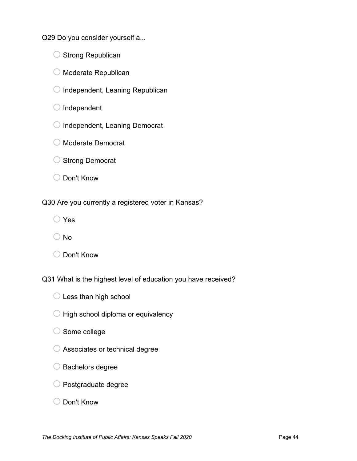Q29 Do you consider yourself a...

- $\bigcirc$  Strong Republican
- $\bigcirc$  Moderate Republican
- $\bigcirc$  Independent, Leaning Republican

 $\bigcirc$  Independent

- $\bigcirc$  Independent, Leaning Democrat
- o Moderate Democrat
- O Strong Democrat
- o Don't Know

Q30 Are you currently a registered voter in Kansas?

 $\bigcirc$  Yes

- o No
- o Don't Know

Q31 What is the highest level of education you have received?

- $\bigcirc$  Less than high school
- $\bigcirc$  High school diploma or equivalency
- $\bigcirc$  Some college
- $\bigcirc$  Associates or technical degree
- $\bigcirc$  Bachelors degree
- $\bigcirc$  Postgraduate degree
- o Don't Know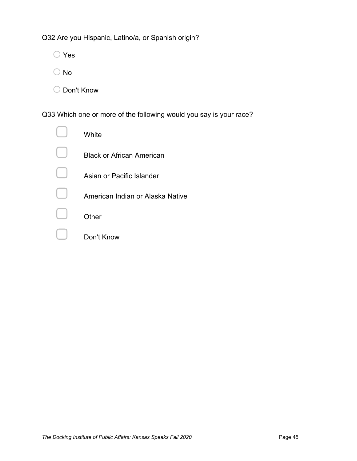Q32 Are you Hispanic, Latino/a, or Spanish origin?

o Yes

- $\bigcirc$  No
- O Don't Know

Q33 Which one or more of the following would you say is your race?

| White                            |
|----------------------------------|
| <b>Black or African American</b> |
| Asian or Pacific Islander        |
| American Indian or Alaska Native |
| Other                            |
| Don't Know                       |